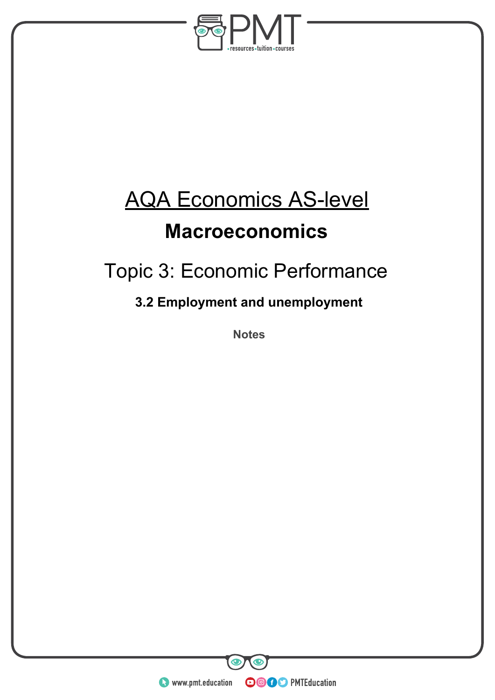

# AQA Economics AS-level

### **Macroeconomics**

## Topic 3: Economic Performance

### **3.2 Employment and unemployment**

**Notes** 

**WWW.pmt.education** 

**OOOO** PMTEducation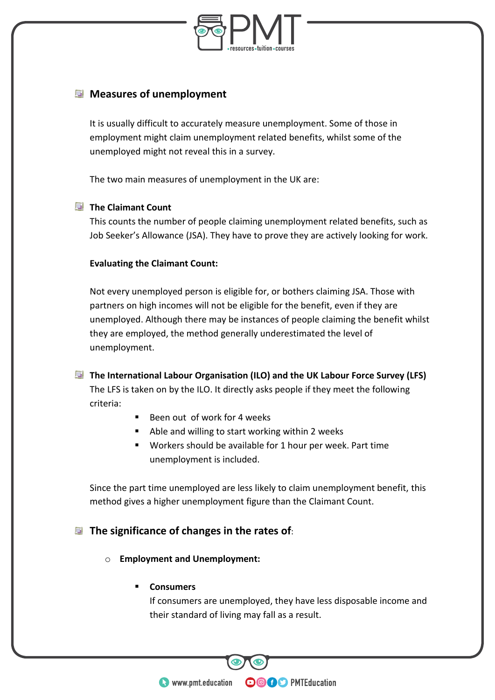

#### **Measures of unemployment**

It is usually difficult to accurately measure unemployment. Some of those in employment might claim unemployment related benefits, whilst some of the unemployed might not reveal this in a survey.

The two main measures of unemployment in the UK are:

#### **The Claimant Count**

This counts the number of people claiming unemployment related benefits, such as Job Seeker's Allowance (JSA). They have to prove they are actively looking for work.

#### **Evaluating the Claimant Count:**

Not every unemployed person is eligible for, or bothers claiming JSA. Those with partners on high incomes will not be eligible for the benefit, even if they are unemployed. Although there may be instances of people claiming the benefit whilst they are employed, the method generally underestimated the level of unemployment.

**The International Labour Organisation (ILO) and the UK Labour Force Survey (LFS)**  The LFS is taken on by the ILO. It directly asks people if they meet the following criteria:

- Been out of work for 4 weeks
- **Able and willing to start working within 2 weeks**
- Workers should be available for 1 hour per week. Part time unemployment is included.

Since the part time unemployed are less likely to claim unemployment benefit, this method gives a higher unemployment figure than the Claimant Count.

#### **The significance of changes in the rates of**:

o **Employment and Unemployment:**

#### **Consumers**

If consumers are unemployed, they have less disposable income and their standard of living may fall as a result.

**OOOO** PMTEducation

**WWW.pmt.education**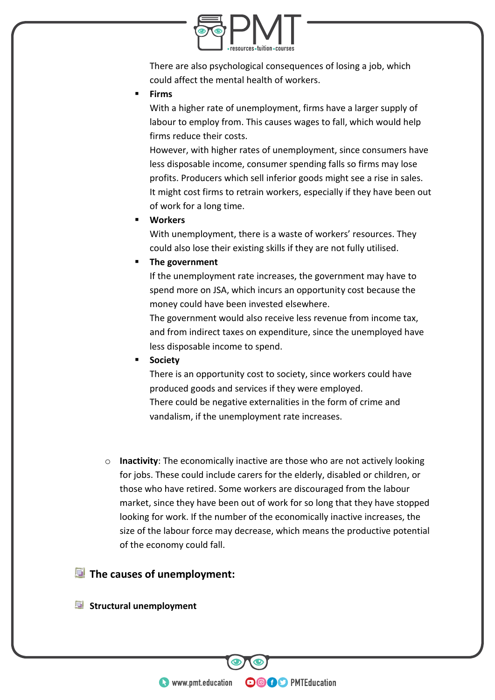

There are also psychological consequences of losing a job, which could affect the mental health of workers.

**Firms** 

With a higher rate of unemployment, firms have a larger supply of labour to employ from. This causes wages to fall, which would help firms reduce their costs.

However, with higher rates of unemployment, since consumers have less disposable income, consumer spending falls so firms may lose profits. Producers which sell inferior goods might see a rise in sales. It might cost firms to retrain workers, especially if they have been out of work for a long time.

**Workers** 

With unemployment, there is a waste of workers' resources. They could also lose their existing skills if they are not fully utilised.

#### **The government**

If the unemployment rate increases, the government may have to spend more on JSA, which incurs an opportunity cost because the money could have been invested elsewhere.

The government would also receive less revenue from income tax, and from indirect taxes on expenditure, since the unemployed have less disposable income to spend.

**Society**

There is an opportunity cost to society, since workers could have produced goods and services if they were employed. There could be negative externalities in the form of crime and vandalism, if the unemployment rate increases.

o **Inactivity**: The economically inactive are those who are not actively looking for jobs. These could include carers for the elderly, disabled or children, or those who have retired. Some workers are discouraged from the labour market, since they have been out of work for so long that they have stopped looking for work. If the number of the economically inactive increases, the size of the labour force may decrease, which means the productive potential of the economy could fall.

**OOOO** PMTEducation

#### **The causes of unemployment:**

**Structural unemployment**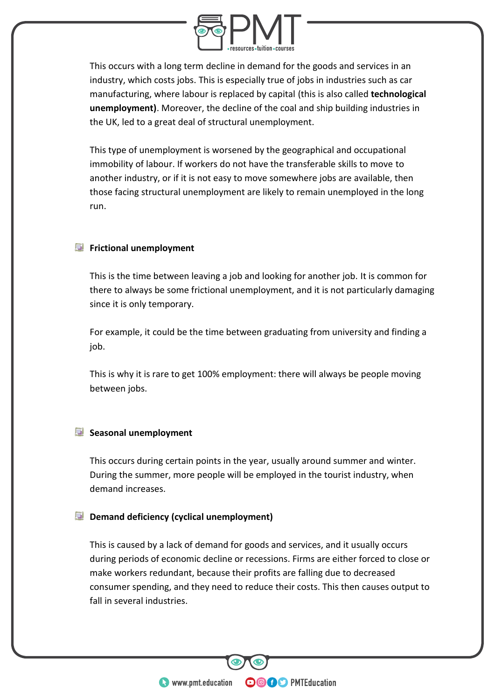

This occurs with a long term decline in demand for the goods and services in an industry, which costs jobs. This is especially true of jobs in industries such as car manufacturing, where labour is replaced by capital (this is also called **technological unemployment)**. Moreover, the decline of the coal and ship building industries in the UK, led to a great deal of structural unemployment.

This type of unemployment is worsened by the geographical and occupational immobility of labour. If workers do not have the transferable skills to move to another industry, or if it is not easy to move somewhere jobs are available, then those facing structural unemployment are likely to remain unemployed in the long run.

#### **F** Frictional unemployment

This is the time between leaving a job and looking for another job. It is common for there to always be some frictional unemployment, and it is not particularly damaging since it is only temporary.

For example, it could be the time between graduating from university and finding a job.

This is why it is rare to get 100% employment: there will always be people moving between jobs.

#### **Seasonal unemployment**

This occurs during certain points in the year, usually around summer and winter. During the summer, more people will be employed in the tourist industry, when demand increases.

#### **Demand deficiency (cyclical unemployment)**

This is caused by a lack of demand for goods and services, and it usually occurs during periods of economic decline or recessions. Firms are either forced to close or make workers redundant, because their profits are falling due to decreased consumer spending, and they need to reduce their costs. This then causes output to fall in several industries.

**OOOO** PMTEducation

**WWW.pmt.education**